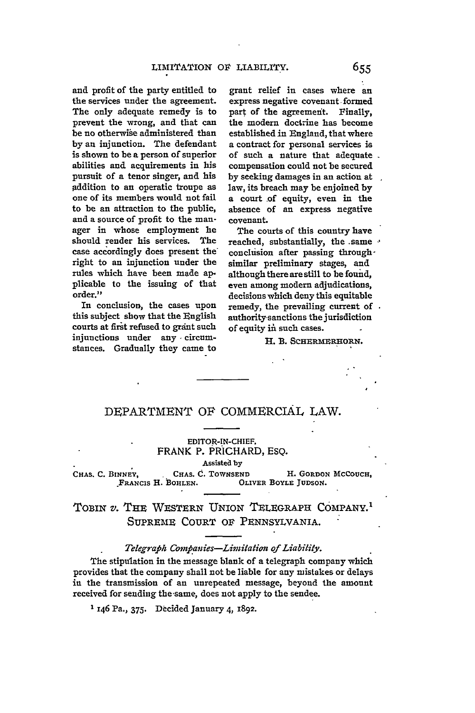and profit of the party entitled to the services under the agreement. The only adequate remedy is to prevent the wrong, and that **can** be no otherwise administered than **by an** injunction. The defendant is shown to be a person of superior abilities and acquirements in his pursuit of a tenor singer, and his .addition to an operatic troupe as one of its members would not fail to be an attraction to the public, and a source of profit to the manager in whose employment he should render his services. The case accordingly does present the right to an injunction under the rules which have been made **ap**plicable to the issuing of that order."

In conclusion, the cases upon this subject show that the English courts at first refused to grant such injunctions under any **-**circumstances. Gradually they came to

grant relief in cases where an express negative covenant formed part of the agreement. Finally, the modern doctrine has become established in England, that where a contract for personal services is of such a nature that adequate compensation could not be secured by seeking damages in an action at law, its breach may be enjoined **by** a court of equity, even in the absence of an express negative covenant.

The courts of this country have reached, substantially, the same  $\cdot$ conclusion after passing throughsimilar preliminary stages, and although there are still to be found, even among modern adjudications, decisions which deny this equitable remedy, the prevailing current of authority-sanctions the jurisdiction of equity in such cases.

H. B. SCHERMERHORN.

## DEPARTMENT **OF** COMMERCIAL LAW.

## **EDITOR-IN-CHIEF.** FRANK P. PRICHARD, ESQ.

#### Assisteil **by**

CHAS. C. BINNEY, CHAS. C. TOWNSEND H. GORDON MCCOUCH, **FRANCIS H. BOHLEN.** OLIVER **BOYLE JUDSON.**

# TOBIN *v.* **THE** WESTERN UNION TELEGRAPH COMPANY.' SUPREME COURT **OF** PENNSYLVANIA.

## *Telegrapih Compianies-Limiation of Liability.*

The stipulation **in** the message blank of a telegraph company which provides that the company shall not be liable for any mistakes or delays in the transmission of an unrepeated message, beyond the amount received for sending the same, does not apply to the sendee.

**1** 46 Pa., **375.** Decided January 4, **I892.**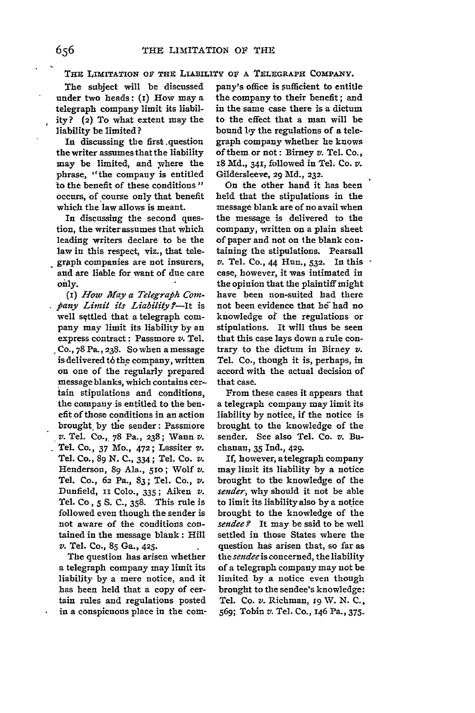**THE** LIMITATION OF THE **LIABILITY** OF **A** TEIEGRAPH **COMPANY.**

The subject will be discussed under two heads: (I) How may a telegraph company limit its liability? (2) To what extent may the liability be limited?

In discussing the first question the writer assumes that the liability may be limited, and where the phrase, "the company is entitled to the benefit of these conditions" occurs, of course only that benefit which the law allows is meant.

In discussing the second question, the writer assumes that which leading writers declare to be the law in this respect, viz., that telegraph companies are not insurers, and are liable for want of due care *only.*

*(I) How May a Telegraph Cornfiany Limit its Liability ?-It* is well settled that a telegraph company may limit its liability by an express contract: Passmore *v.* Tel. Co., 78 Pa.,238. So when **a** message is delivered t6 the company, written on one of the regularly prepared message blanks, which contains cer-. tain stipulations and conditions, the company is entitled to the benefit of those conditions in an action brought, by the sender: Passmore *v.* Tel. **Co.,.** 78 Pa., 238; Wann v. Tel. Co., **37** Mo., 472; Lassiter **v.** Tel. Co., 89 N. **C.,** 334; Tel. Co. *v.* Henderson, 89 Ala., 510; Wolf v. Tel. Co., **62** Pa., 83; Tel. Co., v. Dunfield, II **Colo.,** 335; Aiken *v.* Tel. Co, 5 S. **C.,** 358. This rule is followed even though the sender is not aware of the conditions contained in the message blank: Hill *v.* Tel. Co., **85** Ga., 425.

The question has arisen whether a telegraph company may limit its liability by a mere notice, and it has been held that a copy of certain rules and regulations posted in a conspicuous place in the company's office is sufficient to entitle the company to their benefit; and in the same case there is a dictum to the effect that a man will be bound **by** the regulations of a telegraph company whether he knows of them or not: Birney *v.* Tel. Co., **18 Md., 341,** followed in Tel. Co. *v.* Gildersleeve, 29 **Md.,** 232.

On the other hand it has been held that the stipulations in the message blank are of no avail when the message is delivered to the company, written on a plain sheet of paper and not on the blank containing the stipulations. Pearsall *v.* Tel. Co., 44 Hun., **532.** In this case, however, it was intimated in the opinion that the plaintiff might have been non-suited had there not been evidence that he had no knowledge of the regulations or stipulations. It will thus be seen that this case lays down a rule contrary to the dictum in Birney *v.* Tel. Co., though it is, perhaps, in accord with the actual decision of that case.

From these cases it appears that a telegraph company may limit its liability by notice, if the notice is brought to the knowledge of the sender. See also Tel. Co. v. Buchanan, **35 Ind.,** 429.

If, however, a telegraph company may limit its liability **by** a notice brought to the knowledge of the *sender,* why should it not be able to limit its liability also **by** a notice brought to the knowledge of the *sendee.?* It may be said to be well settled in those States where the question has arisen that, so far as *thesendeeis* concerned, the liability of a telegraph company may not be limited by a notice even though brought to the sendee's knowledge: Tel. Co. v. Richman, **r9** XV. N. C., 569; Tobin *v.* Tel. Co., 146 Pa., 375.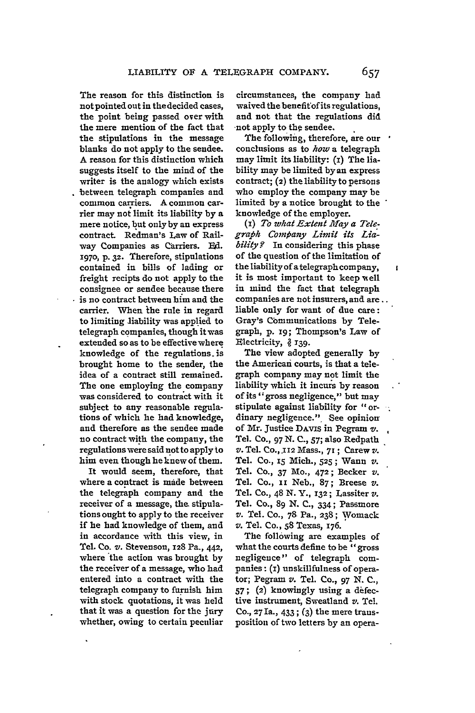The reason for this distinction is not pointed out in the decided cases, the point being passed over with the mere mention of the fact that the stipulations in the message blanks do not apply to the sendee. A reason for this distinction which suggests itself to the mind **of** the writer is the analogy which exists between telegraph companies and common carriers. A common carrier may not limit its liability by a mere notice, but only **by** an express contract. Redman's Law of Railway Companies as Carriers. **Ed. 1970, p. 32.** Therefore, stipulations contained in bills of lading or freight recipts do not apply to the consignee or sendee because there is no contract between him and the carrier. When the rule in regard to limiting liability was applied to telegraph companies, though it was extended so as to be effective where knowledge of the regulations. is brought home to the sender, the idea of a contract still remained. The one employing the company was considered to contract with it subject to any reasonable regulations of which he had knowledge, and therefore as the sendee made no contract with the company, the regulations were said not to apply to him even though he knew of them.

It would seem, therefore, that where a contract is made between the telegraph company and the receiver of a message, the stipulations ought to apply to the receiver if he had knowledge of them, and in accordance with this view, in Tel. Co. v. Stevenson, **128** Pa., **442,** where the action was brought by the receiver of a message, who had entered into a contract with the telegraph company to furnish him with stock quotations, it was held that it was a question for the jury whether, owing to certain peculiar

circumstances, the company had waived the benefit of its regulations, and not that the regulations did not apply to the sendee.

The following, therefore, are our conclusions as to *how* a telegraph may limit its liability: **(i)** The liability may be limited **by** an express contract; **(2)** the liability to persons who employ the company may be limited **by** a notice brought to the knowledge of the employer.

*(i) To what Extent Iay a Telegraphb Company Limit its Liability?* In considering this phase of the question of the limitation of the liability **ofa** telegraph company, it is most important to keep well in mind the fact that telegraph companies are not insurers, and are. liable only for want of due care: Gray's Cbmmunications **by** Telegraph, **p. i9;** Thompson's Law of Electricity, § 139.

The view adopted generally **by** the American courts, is that a telegraph company may not limit the liability which it incurs **by** reason of its "gross negligence," but may stipulate against liability for "ordinary negligence." See opinion of Mr. Justice **DAviS** in Pegram */.* Tel. **Co., 97 N. C., 57;** also Redpath *v.* Tel. **Co.,.112** Mass., **71 ;** Carew **v'.** Tel. Co., **15** Mich., **525;** Wann *v.* Tel. **Co.,** 37 Mo., 472; Becker *v.* Tel. Co., **ii** Neb., **87;** Breese *v.* Tel. **Co.,** 48 **N. Y.,** 132; Lassiter *v.* Tel. **Co., 89 N. C.,** 334; Passmore *v.* Tel. **Co., 7&** Pa., 238; **Vomack** *v.* Tel. **Co., 58** Texas, 176.

The following are examples of what the courts define to be "gross negligence" of telegraph companies **: (i)** unskillfulness of operator; Pegram v. Tel. **Co.,** 97 **N. C., 57;** (2) knowingly using a defective instrument, Sweatland *v.* Tel. **Co., 27** Ia., 433 ; (3) the mere transposition of two letters **by** an operał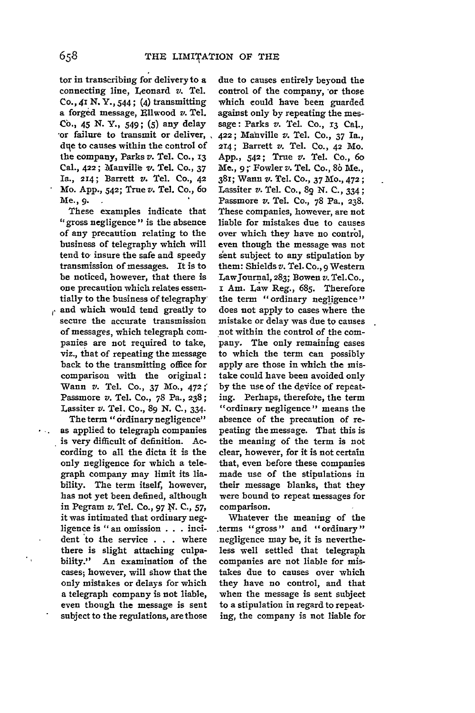tor in transcribing for delivery to a connecting line, Leonard *v.* Tel. **Co.,** 41 **N. Y.,** 544; (4) transmitting a forged message, Ellwood *v.* Tel. **Co.,** 45 **N. Y., 549; (5)** any delay **'or** failure to transmit or deliver, due to causes within the control of the company, Parks *v.* Tel. Co., 13 **Cal.,** 422; Manville v. Tel. **Co., 37** Ia., 214; Barrett *v.* Tel. **Co., 42** Mo. **App.,** 542; True *v.* Tel. Co., 6o Me., **9.**

These examples indicate that "gross negligence" is the absence of any precaution relating to the business of telegraphy which will tend to insure the safe and speedy transmission of messages. It is to be noticed, however, that there is one precaution which relates essentially to the business of telegraphy

and which would tend greatly to secure the accurate transmission of messages, which telegraph companies are not required to take, viz., that of repeating the message back to the transmitting office for comparison with the original: Wann v. Tel. Co., 37 Mo., 472; Passmore v. Tel. Co., 78 Pa., 238; Lassiter *v.* Tel. Co., 89 N. **C.,** 334.

The term "ordinary negligence" as applied to telegraph companies is very difficult of definition. According to all the dicta it is the only negligence for which a telegraph company may limit its liability. The term itself, however, has not yet been defined, although in Pegram *v.* Tel. Co., 97 N. **C., 57,** it was intimated that ordinary negligence is "an omission . . . incident to the service . . . where there is slight attaching culpability." An examination of the cases; however, will show that the only mistakes or delays for which a telegraph company is not liable, even though the message is sent subject to the regulations, are those due to causes entirely beyond the control of the company, or those which could have been guarded against only by repeating the message: Parks *v.* Tel. Co., **13** Cal., 422; Manville v. Tel. Co., 37 Ia., 214; Barrett *v.* Tel. Co., 42 Mo. App., 542; True *v.* Tel. Co., 6o Me., **9;'** Fowler *v.* Tel. Co., **86** Me., 381; Wann v. Tel. Co., 37 Mo., 472; Lassiter v. Tel. Co., 89 N. **C.,** 334; Passmore *v.* Tel. Co., 78 Pa., **238.** These companies, however, are not liable for mistakes due to causes over which they have no control, even though the message was not sent subject to any stipulation by them: Shields v. Tel. Co., 9 Western Lawjournal, **283;** Bowen *v.* Tel.Co., i Am. Law Reg., **685.** Therefore the term "ordinary negligence" does not apply to cases where the mistake or delay was due to causes not within the control of the company. The only remaining cases to which the term can possibly apply are those in which the mistake could have been avoided only by the use of the device of repeating. Perhaps, therefote, the term "ordinary negligence" means the absence of the precaution of repeating the message. That this is the meaning of the term is not clear, however, for it is not certain that, even before these companies made use of the stipulations in their message blanks, that they were bound to repeat messages for comparison.

Whatever the meaning of the .terms "gross" and "ordinary" negligence may be, it is nevertheless well settled that telegraph companies are not liable for mistakes due to causes over which they have no control, and that when the message is sent subject to a stipulation in regard to repeating, the company is not liable for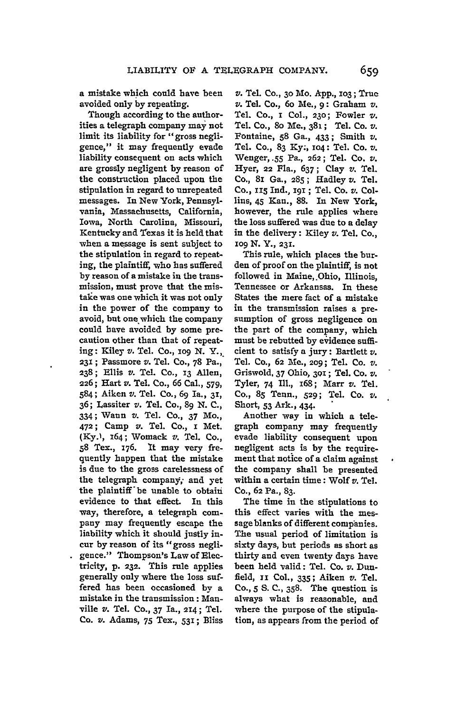a mistake which could have been avoided only **by** repeating.

Though according to the authorities a telegraph company may not limit its liability for "gross negligence," it may frequently evade liability consequent on acts which are grossly negligent **by** reason of the construction placed upon the stipulation in regard to unrepeated messages. In New York, Pennsylvania, Massachusetts, California, Iowa, North Carolina, Missouri, Kentucky and Texas it is held that when a message is sent subject to the stipulation in regard to repeating, the plaintiff, who has suffered by reason of a mistake in the transmission, must prove that the mistake was one which it was not only in the power of the company to avoid, but one which the company could have avoided **by** some precaution other than that of repeating: Kiley *v.* Tel. Co., **io9 N.** Y.,. **231 ;** Passmore *v.* Tel. **Co., 78** Pa., 238; Ellis *v.* Tel. Co., 13 Allen, **226;** Hart *v.* Tel. Co., 66 Cal., **579,** 584; Aiken v. Tel. Co., 69 Ia., **32,** 36; Lassiter *v.* Tel. Co., 89 N. C., 334; Waun v. Tel. **Co.,** 37 Mo., 472; Camp *v.* Tel. Co., r Met. **(Ky.),** 164; Womack *v.* Tel. Co., **58** Tex., **176.** It may very frequently happen that the mistake is due to the gross carelessness of the telegraph company, and yet the plaintiff'be unable to obtain evidence to that effect. In this way, therefore, a telegraph company may frequently escape the liability which it should justly incur by reason of its "gross negligence." Thompson's Law of Electricity, **p. 232.** This rule applies generally only where the loss suffered has been occasioned by a mistake in the transmission: Manville v. Tel. Co., 37 Ia., **2I4;** Tel. Co. v. Adams, 75 **Tex., 531;** Bliss

*v.* Tel. **Co., 30** Mo. **App., 103;** True v. Tel. Co., 6o Me., **9:** Graham v. Tel. Co., **i Col., 230;** Fowler **v.** Tel. Co., 8o Me., 381; Tel. Co. *v.* Fontaine, **58** Ga., 433; Smith *v.* Tel. Co., 83 **Ky.,** io4: Tel. Co. v. Wenger, **.55** Pa., **262;** Tel. Co. *v.* Hyer, 22 Fla., 637; Clay *v.* Tel. Co., 8i Ga., **285;** Hadley v. Tel. Co., S Ind., **191 ;** Tel. Co. *v.* Collins, **45** Kan., **88.** In New York, however, the rule applies where the loss suffered was due to a delay in the delivery: Kiley *v.* Tel. Co., **I09** N. Y., **23L**

This rule, which places the burden of proof on the plaintiff, is not followed in Maine, Ohio, Illinois, Tennessee or Arkansas. In these States the mere fact of a mistake in the transmission raises a presumption of gross negligence on the part of the company, which must be rebutted **by** evidence sufficient to satisfy **a** jury: Bartlett *v.* Tel. Co., **62 MC., 209;** Tel. Co. *v.* Griswold. **37** Ohio, 30i; Tel. Co. *v.* Tyler, 74 Ill., 168; Marr *v.* Tel. Co., **85** Tenn., **529;** Tel. Co. *v.* Short, 53 Ark., 434.

Another way in which a telegraph company may frequently evade liability consequent upon negligent acts is **by** the requirement that notice of a claim against the company shall be presented within a certain time: Wolf *v.* Tel. Co., 62 Pa., **83.**

The time in the stipulations to this effect varies with the message blanks of different companies. The usual period of limitation is sixty days, but periods as short as thirty and even twenty days have been held valid: Tel. Co. v. Dunfield, **ii** Col., **335;** Aiken v. Tel. **Co., 5 S. C., 358.** The question is always what is reasonable, and where the purpose of the stipulation, as appears from the period of